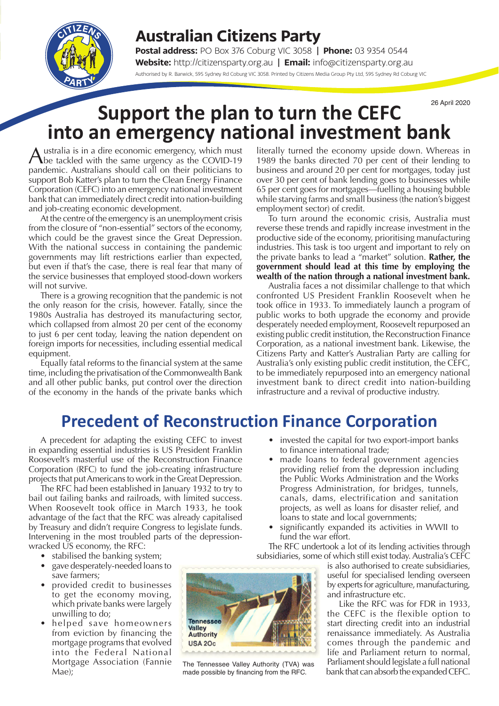## **Australian Citizens Party**

**Postal address:** PO Box 376 Coburg VIC 3058 | **Phone:** 03 9354 0544 **Website:** http://citizensparty.org.au | **Email:** info@citizensparty.org.au Authorised by R. Barwick, 595 Sydney Rd Coburg VIC 3058. Printed by Citizens Media Group Pty Ltd, 595 Sydney Rd Coburg VIC

# **Support the plan to turn the CEFC**  $26$  April 2020 **into an emergency national investment bank**

ustralia is in a dire economic emergency, which must **The tackled with the same urgency as the COVID-19** pandemic. Australians should call on their politicians to support Bob Katter's plan to turn the Clean Energy Finance Corporation (CEFC) into an emergency national investment bank that can immediately direct credit into nation-building and job-creating economic development.

At the centre of the emergency is an unemployment crisis from the closure of "non-essential" sectors of the economy, which could be the gravest since the Great Depression. With the national success in containing the pandemic governments may lift restrictions earlier than expected, but even if that's the case, there is real fear that many of the service businesses that employed stood-down workers will not survive.

There is a growing recognition that the pandemic is not the only reason for the crisis, however. Fatally, since the 1980s Australia has destroyed its manufacturing sector, which collapsed from almost 20 per cent of the economy to just 6 per cent today, leaving the nation dependent on foreign imports for necessities, including essential medical equipment.

Equally fatal reforms to the financial system at the same time, including the privatisation of the Commonwealth Bank and all other public banks, put control over the direction of the economy in the hands of the private banks which

literally turned the economy upside down. Whereas in 1989 the banks directed 70 per cent of their lending to business and around 20 per cent for mortgages, today just over 30 per cent of bank lending goes to businesses while 65 per cent goes for mortgages—fuelling a housing bubble while starving farms and small business (the nation's biggest employment sector) of credit.

To turn around the economic crisis, Australia must reverse these trends and rapidly increase investment in the productive side of the economy, prioritising manufacturing industries. This task is too urgent and important to rely on the private banks to lead a "market" solution. **Rather, the government should lead at this time by employing the wealth of the nation through a national investment bank.**

Australia faces a not dissimilar challenge to that which confronted US President Franklin Roosevelt when he took office in 1933. To immediately launch a program of public works to both upgrade the economy and provide desperately needed employment, Roosevelt repurposed an existing public credit institution, the Reconstruction Finance Corporation, as a national investment bank. Likewise, the Citizens Party and Katter's Australian Party are calling for Australia's only existing public credit institution, the CEFC, to be immediately repurposed into an emergency national investment bank to direct credit into nation-building infrastructure and a revival of productive industry.

# **Precedent of Reconstruction Finance Corporation**

A precedent for adapting the existing CEFC to invest in expanding essential industries is US President Franklin Roosevelt's masterful use of the Reconstruction Finance Corporation (RFC) to fund the job-creating infrastructure projects that put Americans to work in the Great Depression.

The RFC had been established in January 1932 to try to bail out failing banks and railroads, with limited success. When Roosevelt took office in March 1933, he took advantage of the fact that the RFC was already capitalised by Treasury and didn't require Congress to legislate funds. Intervening in the most troubled parts of the depressionwracked US economy, the RFC:

- stabilised the banking system;
- gave desperately-needed loans to save farmers;
- provided credit to businesses to get the economy moving, which private banks were largely unwilling to do;
- helped save homeowners from eviction by financing the mortgage programs that evolved into the Federal National Mortgage Association (Fannie Mae);



- made loans to federal government agencies providing relief from the depression including the Public Works Administration and the Works Progress Administration, for bridges, tunnels, canals, dams, electrification and sanitation projects, as well as loans for disaster relief, and loans to state and local governments;
- significantly expanded its activities in WWII to fund the war effort.

The RFC undertook a lot of its lending activities through subsidiaries, some of which still exist today. Australia's CEFC

> is also authorised to create subsidiaries, useful for specialised lending overseen by experts for agriculture, manufacturing, and infrastructure etc.

Like the RFC was for FDR in 1933, the CEFC is the flexible option to start directing credit into an industrial renaissance immediately. As Australia comes through the pandemic and life and Parliament return to normal, Parliament should legislate a full national The Tennessee Valley Authority (TVA) was Parliament should legislate a full national made possible by financing from the RFC. bank that can absorb the expanded CEFC.



made possible by financing from the RFC.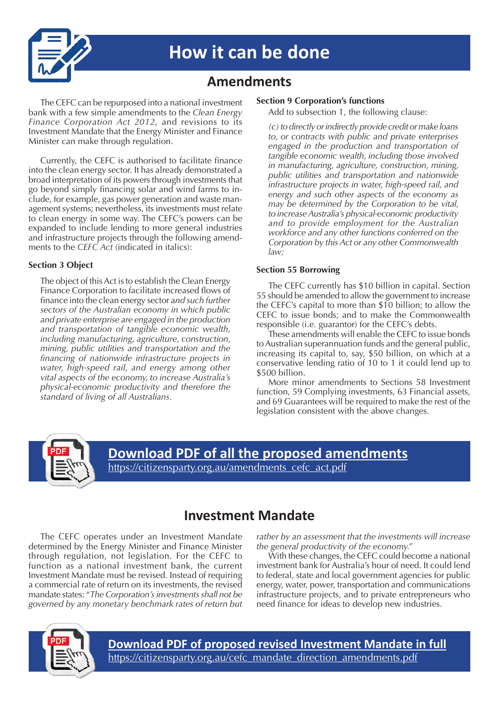

# **How it can be done**

## **Amendments**

The CEFC can be repurposed into a national investment bank with a few simple amendments to the *Clean Energy Finance Corporation Act 2012*, and revisions to its Investment Mandate that the Energy Minister and Finance Minister can make through regulation.

Currently, the CEFC is authorised to facilitate finance into the clean energy sector. It has already demonstrated a broad interpretation of its powers through investments that go beyond simply financing solar and wind farms to include, for example, gas power generation and waste management systems; nevertheless, its investments must relate to clean energy in some way. The CEFC's powers can be expanded to include lending to more general industries and infrastructure projects through the following amendments to the *CEFC Act* (indicated in italics):

### **Section 3 Object**

The object of this Act is to establish the Clean Energy Finance Corporation to facilitate increased flows of finance into the clean energy sector a*nd such further sectors of the Australian economy in which public and private enterprise are engaged in the production and transportation of tangible economic wealth, including manufacturing, agriculture, construction, mining, public utilities and transportation and the financing of nationwide infrastructure projects in water, high-speed rail, and energy among other vital aspects of the economy, to increase Australia's physical-economic productivity and therefore the standard of living of all Australians.*

## **Section 9 Corporation's functions**

Add to subsection 1, the following clause:

*(c) to directly or indirectly provide credit or make loans to, or contracts with public and private enterprises engaged in the production and transportation of tangible economic wealth, including those involved in manufacturing, agriculture, construction, mining, public utilities and transportation and nationwide infrastructure projects in water, high-speed rail, and energy and such other aspects of the economy as may be determined by the Corporation to be vital, to increase Australia's physical-economic productivity and to provide employment for the Australian workforce and any other functions conferred on the Corporation by this Act or any other Commonwealth law;*

### **Section 55 Borrowing**

The CEFC currently has \$10 billion in capital. Section 55 should be amended to allow the government to increase the CEFC's capital to more than \$10 billion; to allow the CEFC to issue bonds; and to make the Commonwealth responsible (i.e. guarantor) for the CEFC's debts.

These amendments will enable the CEFC to issue bonds to Australian superannuation funds and the general public, increasing its capital to, say, \$50 billion, on which at a conservative lending ratio of 10 to 1 it could lend up to \$500 billion.

More minor amendments to Sections 58 Investment function, 59 Complying investments, 63 Financial assets, and 69 Guarantees will be required to make the rest of the legislation consistent with the above changes.



# **[Download PDF of all the proposed amendments](https://citizensparty.org.au/amendments_cefc_act.pdf)**

[https://citizensparty.org.au/amendments\\_cefc\\_act.pdf](https://citizensparty.org.au/sites/default/files/2020-04/amendments_cefc_act.pdf)

## **Investment Mandate**

The CEFC operates under an Investment Mandate determined by the Energy Minister and Finance Minister through regulation, not legislation. For the CEFC to function as a national investment bank, the current Investment Mandate must be revised. Instead of requiring a commercial rate of return on its investments, the revised mandate states: "*The Corporation's investments shall not be governed by any monetary benchmark rates of return but*  *rather by an assessment that the investments will increase the general productivity of the economy."*

With these changes, the CEFC could become a national investment bank for Australia's hour of need. It could lend to federal, state and local government agencies for public energy, water, power, transportation and communications infrastructure projects, and to private entrepreneurs who need finance for ideas to develop new industries.



**[Download PDF of proposed revised Investment Mandate in full](https://citizensparty.org.au/cefc_mandate_direction_amendments.pdf)** [https://citizensparty.org.au/cefc\\_mandate\\_direction\\_amendments.pdf](https://citizensparty.org.au/cefc_mandate_direction_amendments.pdf)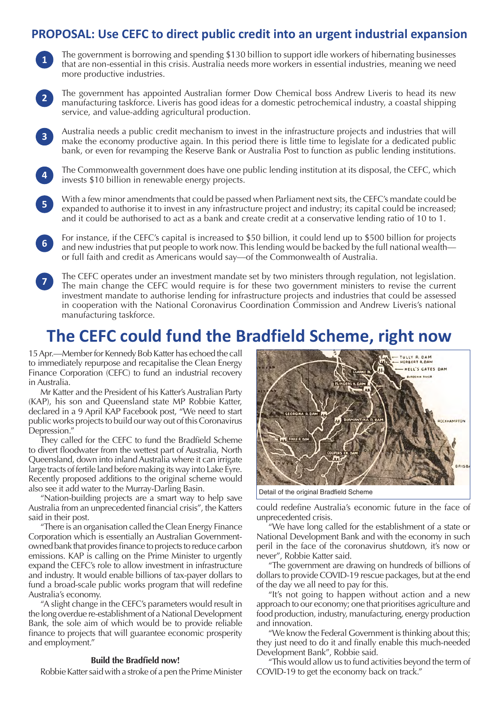## **PROPOSAL: Use CEFC to direct public credit into an urgent industrial expansion**

- The government is borrowing and spending \$130 billion to support idle workers of hibernating businesses that are non-essential in this crisis. Australia needs more workers in essential industries, meaning we need more productive industries. **1**
- The government has appointed Australian former Dow Chemical boss Andrew Liveris to head its new manufacturing taskforce. Liveris has good ideas for a domestic petrochemical industry, a coastal shipping service, and value-adding agricultural production. **2**
- Australia needs a public credit mechanism to invest in the infrastructure projects and industries that will make the economy productive again. In this period there is little time to legislate for a dedicated public bank, or even for revamping the Reserve Bank or Australia Post to function as public lending institutions. **3**
- The Commonwealth government does have one public lending institution at its disposal, the CEFC, which invests \$10 billion in renewable energy projects. **4**
- With a few minor amendments that could be passed when Parliament next sits, the CEFC's mandate could be expanded to authorise it to invest in any infrastructure project and industry; its capital could be increased; and it could be authorised to act as a bank and create credit at a conservative lending ratio of 10 to 1. **5**
- For instance, if the CEFC's capital is increased to \$50 billion, it could lend up to \$500 billion for projects and new industries that put people to work now. This lending would be backed by the full national wealth or full faith and credit as Americans would say—of the Commonwealth of Australia. **6**
- The CEFC operates under an investment mandate set by two ministers through regulation, not legislation. The main change the CEFC would require is for these two government ministers to revise the current investment mandate to authorise lending for infrastructure projects and industries that could be assessed in cooperation with the National Coronavirus Coordination Commission and Andrew Liveris's national manufacturing taskforce. **7**

## **The CEFC could fund the Bradfield Scheme, right now**

15 Apr.—Member for Kennedy Bob Katter has echoed the call to immediately repurpose and recapitalise the Clean Energy Finance Corporation (CEFC) to fund an industrial recovery in Australia.

Mr Katter and the President of his Katter's Australian Party (KAP), his son and Queensland state MP Robbie Katter, declared in a 9 April KAP Facebook post, "We need to start public works projects to build our way out of this Coronavirus Depression."

They called for the CEFC to fund the Bradfield Scheme to divert floodwater from the wettest part of Australia, North Queensland, down into inland Australia where it can irrigate large tracts of fertile land before making its way into Lake Eyre. Recently proposed additions to the original scheme would also see it add water to the Murray-Darling Basin.

"Nation-building projects are a smart way to help save Australia from an unprecedented financial crisis", the Katters said in their post.

"There is an organisation called the Clean Energy Finance Corporation which is essentially an Australian Governmentowned bank that provides finance to projects to reduce carbon emissions. KAP is calling on the Prime Minister to urgently expand the CEFC's role to allow investment in infrastructure and industry. It would enable billions of tax-payer dollars to fund a broad-scale public works program that will redefine Australia's economy.

"A slight change in the CEFC's parameters would result in the long overdue re-establishment of a National Development Bank, the sole aim of which would be to provide reliable finance to projects that will guarantee economic prosperity and employment."

### **Build the Bradfield now!**

Robbie Katter said with a stroke of a pen the Prime Minister



Detail of the original Bradfield Scheme

could redefine Australia's economic future in the face of unprecedented crisis.

"We have long called for the establishment of a state or National Development Bank and with the economy in such peril in the face of the coronavirus shutdown, it's now or never", Robbie Katter said.

"The government are drawing on hundreds of billions of dollars to provide COVID-19 rescue packages, but at the end of the day we all need to pay for this.

"It's not going to happen without action and a new approach to our economy; one that prioritises agriculture and food production, industry, manufacturing, energy production and innovation.

"We know the Federal Government is thinking about this; they just need to do it and finally enable this much-needed Development Bank", Robbie said.

"This would allow us to fund activities beyond the term of COVID-19 to get the economy back on track."